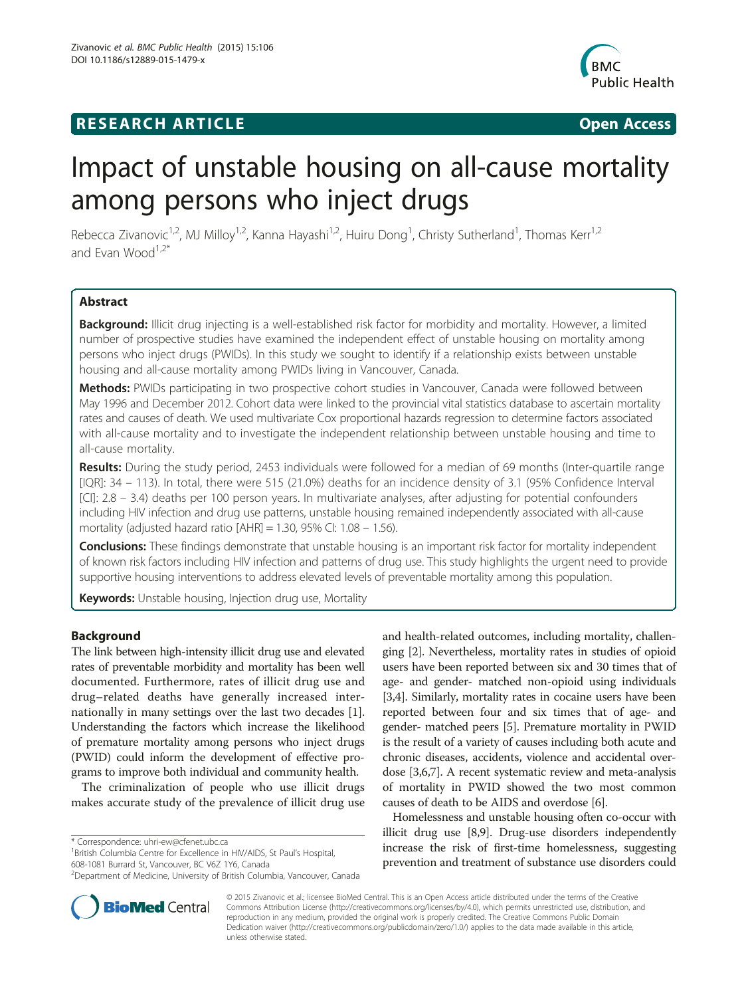## **RESEARCH ARTICLE Example 2014 12:30 The SEAR CHIPS 2014 12:30 The SEAR CHIPS 2014 12:30 The SEAR CHIPS 2014 12:30 The SEAR CHIPS 2014 12:30 The SEAR CHIPS 2014 12:30 THE SEARCH ARTICLE**



# Impact of unstable housing on all-cause mortality among persons who inject drugs

Rebecca Zivanovic<sup>1,2</sup>, MJ Milloy<sup>1,2</sup>, Kanna Hayashi<sup>1,2</sup>, Huiru Dong<sup>1</sup>, Christy Sutherland<sup>1</sup>, Thomas Kerr<sup>1,2</sup> and Evan Wood $1,2^*$ 

## Abstract

Background: Illicit drug injecting is a well-established risk factor for morbidity and mortality. However, a limited number of prospective studies have examined the independent effect of unstable housing on mortality among persons who inject drugs (PWIDs). In this study we sought to identify if a relationship exists between unstable housing and all-cause mortality among PWIDs living in Vancouver, Canada.

Methods: PWIDs participating in two prospective cohort studies in Vancouver, Canada were followed between May 1996 and December 2012. Cohort data were linked to the provincial vital statistics database to ascertain mortality rates and causes of death. We used multivariate Cox proportional hazards regression to determine factors associated with all-cause mortality and to investigate the independent relationship between unstable housing and time to all-cause mortality.

Results: During the study period, 2453 individuals were followed for a median of 69 months (Inter-quartile range [IQR]: 34 – 113). In total, there were 515 (21.0%) deaths for an incidence density of 3.1 (95% Confidence Interval [CI]: 2.8 – 3.4) deaths per 100 person years. In multivariate analyses, after adjusting for potential confounders including HIV infection and drug use patterns, unstable housing remained independently associated with all-cause mortality (adjusted hazard ratio  $[AHR] = 1.30, 95\%$  CI:  $1.08 - 1.56$ ).

**Conclusions:** These findings demonstrate that unstable housing is an important risk factor for mortality independent of known risk factors including HIV infection and patterns of drug use. This study highlights the urgent need to provide supportive housing interventions to address elevated levels of preventable mortality among this population.

Keywords: Unstable housing, Injection drug use, Mortality

## Background

The link between high-intensity illicit drug use and elevated rates of preventable morbidity and mortality has been well documented. Furthermore, rates of illicit drug use and drug–related deaths have generally increased internationally in many settings over the last two decades [[1](#page-5-0)]. Understanding the factors which increase the likelihood of premature mortality among persons who inject drugs (PWID) could inform the development of effective programs to improve both individual and community health.

The criminalization of people who use illicit drugs makes accurate study of the prevalence of illicit drug use

\* Correspondence: [uhri-ew@cfenet.ubc.ca](mailto:uhri-ew@cfenet.ubc.ca) <sup>1</sup>

<sup>1</sup> British Columbia Centre for Excellence in HIV/AIDS, St Paul's Hospital, 608-1081 Burrard St, Vancouver, BC V6Z 1Y6, Canada

and health-related outcomes, including mortality, challenging [\[2](#page-5-0)]. Nevertheless, mortality rates in studies of opioid users have been reported between six and 30 times that of age- and gender- matched non-opioid using individuals [[3,4\]](#page-5-0). Similarly, mortality rates in cocaine users have been reported between four and six times that of age- and gender- matched peers [[5\]](#page-5-0). Premature mortality in PWID is the result of a variety of causes including both acute and chronic diseases, accidents, violence and accidental overdose [\[3,6,7\]](#page-5-0). A recent systematic review and meta-analysis of mortality in PWID showed the two most common causes of death to be AIDS and overdose [\[6\]](#page-5-0).

Homelessness and unstable housing often co-occur with illicit drug use [\[8,9](#page-5-0)]. Drug-use disorders independently increase the risk of first-time homelessness, suggesting prevention and treatment of substance use disorders could



© 2015 Zivanovic et al.; licensee BioMed Central. This is an Open Access article distributed under the terms of the Creative Commons Attribution License [\(http://creativecommons.org/licenses/by/4.0\)](http://creativecommons.org/licenses/by/4.0), which permits unrestricted use, distribution, and reproduction in any medium, provided the original work is properly credited. The Creative Commons Public Domain Dedication waiver [\(http://creativecommons.org/publicdomain/zero/1.0/](http://creativecommons.org/publicdomain/zero/1.0/)) applies to the data made available in this article, unless otherwise stated.

<sup>2</sup> Department of Medicine, University of British Columbia, Vancouver, Canada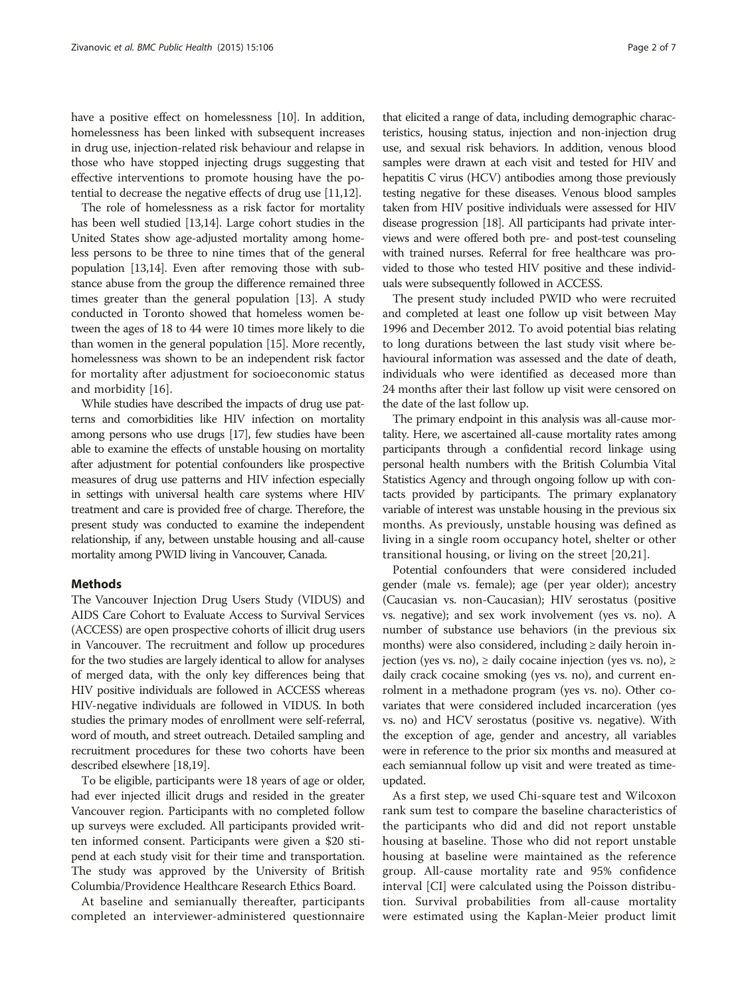have a positive effect on homelessness [[10](#page-5-0)]. In addition, homelessness has been linked with subsequent increases in drug use, injection-related risk behaviour and relapse in those who have stopped injecting drugs suggesting that effective interventions to promote housing have the potential to decrease the negative effects of drug use [\[11,12\]](#page-5-0).

The role of homelessness as a risk factor for mortality has been well studied [[13,14\]](#page-5-0). Large cohort studies in the United States show age-adjusted mortality among homeless persons to be three to nine times that of the general population [\[13,14](#page-5-0)]. Even after removing those with substance abuse from the group the difference remained three times greater than the general population [\[13\]](#page-5-0). A study conducted in Toronto showed that homeless women between the ages of 18 to 44 were 10 times more likely to die than women in the general population [\[15\]](#page-5-0). More recently, homelessness was shown to be an independent risk factor for mortality after adjustment for socioeconomic status and morbidity [[16\]](#page-5-0).

While studies have described the impacts of drug use patterns and comorbidities like HIV infection on mortality among persons who use drugs [\[17\]](#page-6-0), few studies have been able to examine the effects of unstable housing on mortality after adjustment for potential confounders like prospective measures of drug use patterns and HIV infection especially in settings with universal health care systems where HIV treatment and care is provided free of charge. Therefore, the present study was conducted to examine the independent relationship, if any, between unstable housing and all-cause mortality among PWID living in Vancouver, Canada.

## Methods

The Vancouver Injection Drug Users Study (VIDUS) and AIDS Care Cohort to Evaluate Access to Survival Services (ACCESS) are open prospective cohorts of illicit drug users in Vancouver. The recruitment and follow up procedures for the two studies are largely identical to allow for analyses of merged data, with the only key differences being that HIV positive individuals are followed in ACCESS whereas HIV-negative individuals are followed in VIDUS. In both studies the primary modes of enrollment were self-referral, word of mouth, and street outreach. Detailed sampling and recruitment procedures for these two cohorts have been described elsewhere [[18,19\]](#page-6-0).

To be eligible, participants were 18 years of age or older, had ever injected illicit drugs and resided in the greater Vancouver region. Participants with no completed follow up surveys were excluded. All participants provided written informed consent. Participants were given a \$20 stipend at each study visit for their time and transportation. The study was approved by the University of British Columbia/Providence Healthcare Research Ethics Board.

At baseline and semianually thereafter, participants completed an interviewer-administered questionnaire

that elicited a range of data, including demographic characteristics, housing status, injection and non-injection drug use, and sexual risk behaviors. In addition, venous blood samples were drawn at each visit and tested for HIV and hepatitis C virus (HCV) antibodies among those previously testing negative for these diseases. Venous blood samples taken from HIV positive individuals were assessed for HIV disease progression [\[18\]](#page-6-0). All participants had private interviews and were offered both pre- and post-test counseling with trained nurses. Referral for free healthcare was provided to those who tested HIV positive and these individuals were subsequently followed in ACCESS.

The present study included PWID who were recruited and completed at least one follow up visit between May 1996 and December 2012. To avoid potential bias relating to long durations between the last study visit where behavioural information was assessed and the date of death, individuals who were identified as deceased more than 24 months after their last follow up visit were censored on the date of the last follow up.

The primary endpoint in this analysis was all-cause mortality. Here, we ascertained all-cause mortality rates among participants through a confidential record linkage using personal health numbers with the British Columbia Vital Statistics Agency and through ongoing follow up with contacts provided by participants. The primary explanatory variable of interest was unstable housing in the previous six months. As previously, unstable housing was defined as living in a single room occupancy hotel, shelter or other transitional housing, or living on the street [[20,21](#page-6-0)].

Potential confounders that were considered included gender (male vs. female); age (per year older); ancestry (Caucasian vs. non-Caucasian); HIV serostatus (positive vs. negative); and sex work involvement (yes vs. no). A number of substance use behaviors (in the previous six months) were also considered, including ≥ daily heroin injection (yes vs. no),  $\geq$  daily cocaine injection (yes vs. no),  $\geq$ daily crack cocaine smoking (yes vs. no), and current enrolment in a methadone program (yes vs. no). Other covariates that were considered included incarceration (yes vs. no) and HCV serostatus (positive vs. negative). With the exception of age, gender and ancestry, all variables were in reference to the prior six months and measured at each semiannual follow up visit and were treated as timeupdated.

As a first step, we used Chi-square test and Wilcoxon rank sum test to compare the baseline characteristics of the participants who did and did not report unstable housing at baseline. Those who did not report unstable housing at baseline were maintained as the reference group. All-cause mortality rate and 95% confidence interval [CI] were calculated using the Poisson distribution. Survival probabilities from all-cause mortality were estimated using the Kaplan-Meier product limit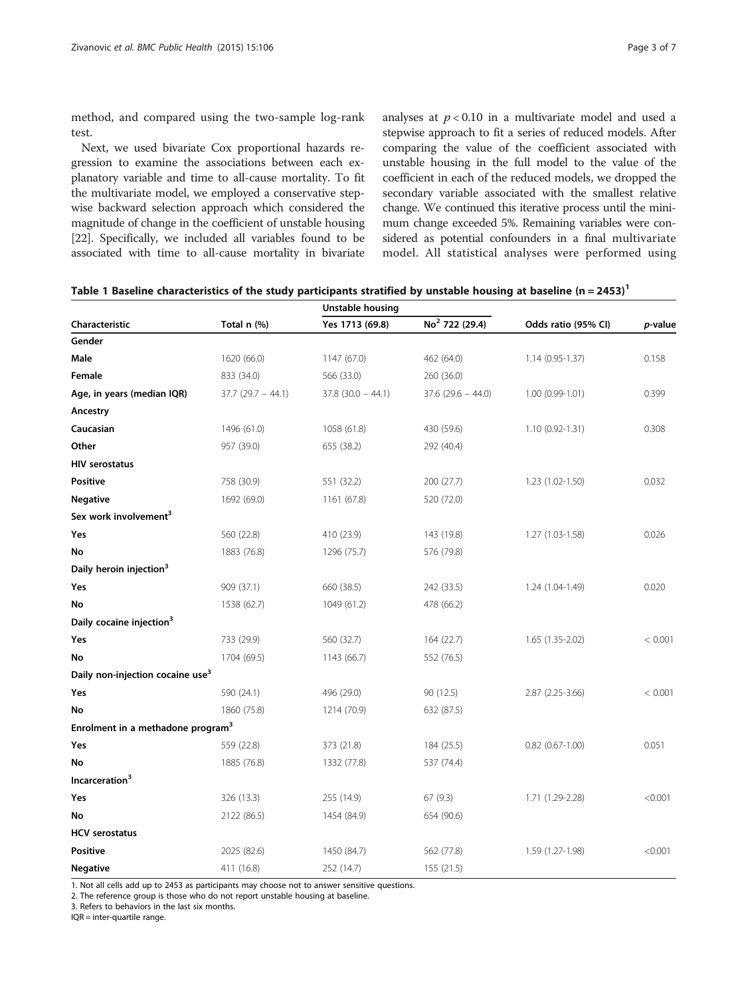<span id="page-2-0"></span>method, and compared using the two-sample log-rank test.

Next, we used bivariate Cox proportional hazards regression to examine the associations between each explanatory variable and time to all-cause mortality. To fit the multivariate model, we employed a conservative stepwise backward selection approach which considered the magnitude of change in the coefficient of unstable housing [[22](#page-6-0)]. Specifically, we included all variables found to be associated with time to all-cause mortality in bivariate analyses at  $p < 0.10$  in a multivariate model and used a stepwise approach to fit a series of reduced models. After comparing the value of the coefficient associated with unstable housing in the full model to the value of the coefficient in each of the reduced models, we dropped the secondary variable associated with the smallest relative change. We continued this iterative process until the minimum change exceeded 5%. Remaining variables were considered as potential confounders in a final multivariate model. All statistical analyses were performed using

|  |  |  |  | Table 1 Baseline characteristics of the study participants stratified by unstable housing at baseline ( $n = 2453$ ) <sup>1</sup> |
|--|--|--|--|-----------------------------------------------------------------------------------------------------------------------------------|
|--|--|--|--|-----------------------------------------------------------------------------------------------------------------------------------|

|                                               |                     | <b>Unstable housing</b> |                            |                        |         |
|-----------------------------------------------|---------------------|-------------------------|----------------------------|------------------------|---------|
| Characteristic                                | Total n (%)         | Yes 1713 (69.8)         | No <sup>2</sup> 722 (29.4) | Odds ratio (95% CI)    | p-value |
| Gender                                        |                     |                         |                            |                        |         |
| Male                                          | 1620 (66.0)         | 1147 (67.0)             | 462 (64.0)                 | $1.14(0.95 - 1.37)$    | 0.158   |
| Female                                        | 833 (34.0)          | 566 (33.0)              | 260 (36.0)                 |                        |         |
| Age, in years (median IQR)                    | $37.7(29.7 - 44.1)$ | $37.8$ (30.0 - 44.1)    | $37.6$ (29.6 - 44.0)       | $1.00(0.99-1.01)$      | 0.399   |
| Ancestry                                      |                     |                         |                            |                        |         |
| Caucasian                                     | 1496 (61.0)         | 1058 (61.8)             | 430 (59.6)                 | 1.10 (0.92-1.31)       | 0.308   |
| Other                                         | 957 (39.0)          | 655 (38.2)              | 292 (40.4)                 |                        |         |
| <b>HIV serostatus</b>                         |                     |                         |                            |                        |         |
| <b>Positive</b>                               | 758 (30.9)          | 551 (32.2)              | 200 (27.7)                 | 1.23 (1.02-1.50)       | 0.032   |
| <b>Negative</b>                               | 1692 (69.0)         | 1161 (67.8)             | 520 (72.0)                 |                        |         |
| Sex work involvement <sup>3</sup>             |                     |                         |                            |                        |         |
| Yes                                           | 560 (22.8)          | 410 (23.9)              | 143 (19.8)                 | $1.27(1.03-1.58)$      | 0.026   |
| No                                            | 1883 (76.8)         | 1296 (75.7)             | 576 (79.8)                 |                        |         |
| Daily heroin injection <sup>3</sup>           |                     |                         |                            |                        |         |
| Yes                                           | 909 (37.1)          | 660 (38.5)              | 242 (33.5)                 | 1.24 (1.04-1.49)       | 0.020   |
| No                                            | 1538 (62.7)         | 1049 (61.2)             | 478 (66.2)                 |                        |         |
| Daily cocaine injection <sup>3</sup>          |                     |                         |                            |                        |         |
| Yes                                           | 733 (29.9)          | 560 (32.7)              | 164 (22.7)                 | 1.65 (1.35-2.02)       | < 0.001 |
| No                                            | 1704 (69.5)         | 1143 (66.7)             | 552 (76.5)                 |                        |         |
| Daily non-injection cocaine use <sup>3</sup>  |                     |                         |                            |                        |         |
| Yes                                           | 590 (24.1)          | 496 (29.0)              | 90 (12.5)                  | 2.87 (2.25-3.66)       | < 0.001 |
| No                                            | 1860 (75.8)         | 1214 (70.9)             | 632 (87.5)                 |                        |         |
| Enrolment in a methadone program <sup>3</sup> |                     |                         |                            |                        |         |
| Yes                                           | 559 (22.8)          | 373 (21.8)              | 184 (25.5)                 | $0.82$ $(0.67 - 1.00)$ | 0.051   |
| No                                            | 1885 (76.8)         | 1332 (77.8)             | 537 (74.4)                 |                        |         |
| Incarceration <sup>3</sup>                    |                     |                         |                            |                        |         |
| Yes                                           | 326 (13.3)          | 255 (14.9)              | 67 (9.3)                   | 1.71 (1.29-2.28)       | < 0.001 |
| No                                            | 2122 (86.5)         | 1454 (84.9)             | 654 (90.6)                 |                        |         |
| <b>HCV</b> serostatus                         |                     |                         |                            |                        |         |
| <b>Positive</b>                               | 2025 (82.6)         | 1450 (84.7)             | 562 (77.8)                 | 1.59 (1.27-1.98)       | < 0.001 |
| <b>Negative</b>                               | 411 (16.8)          | 252 (14.7)              | 155 (21.5)                 |                        |         |

1. Not all cells add up to 2453 as participants may choose not to answer sensitive questions.

2. The reference group is those who do not report unstable housing at baseline.

3. Refers to behaviors in the last six months.

IQR = inter-quartile range.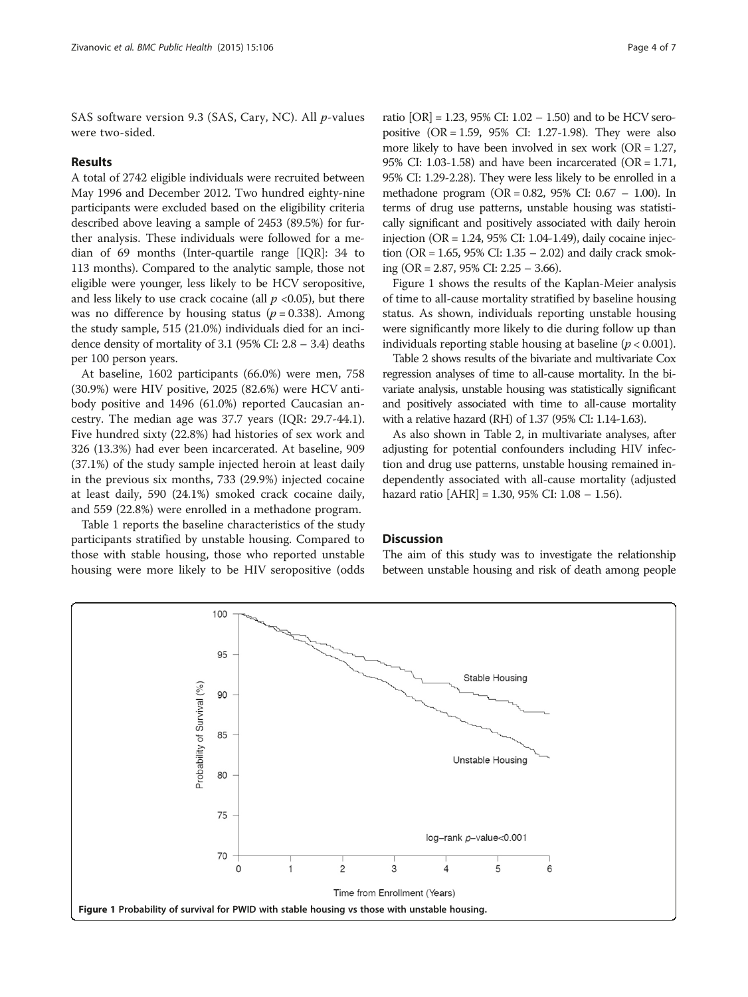SAS software version 9.3 (SAS, Cary, NC). All p-values were two-sided.

## Results

A total of 2742 eligible individuals were recruited between May 1996 and December 2012. Two hundred eighty-nine participants were excluded based on the eligibility criteria described above leaving a sample of 2453 (89.5%) for further analysis. These individuals were followed for a median of 69 months (Inter-quartile range [IQR]: 34 to 113 months). Compared to the analytic sample, those not eligible were younger, less likely to be HCV seropositive, and less likely to use crack cocaine (all  $p \le 0.05$ ), but there was no difference by housing status ( $p = 0.338$ ). Among the study sample, 515 (21.0%) individuals died for an incidence density of mortality of 3.1 (95% CI: 2.8 – 3.4) deaths per 100 person years.

At baseline, 1602 participants (66.0%) were men, 758 (30.9%) were HIV positive, 2025 (82.6%) were HCV antibody positive and 1496 (61.0%) reported Caucasian ancestry. The median age was 37.7 years (IQR: 29.7-44.1). Five hundred sixty (22.8%) had histories of sex work and 326 (13.3%) had ever been incarcerated. At baseline, 909 (37.1%) of the study sample injected heroin at least daily in the previous six months, 733 (29.9%) injected cocaine at least daily, 590 (24.1%) smoked crack cocaine daily, and 559 (22.8%) were enrolled in a methadone program.

Table [1](#page-2-0) reports the baseline characteristics of the study participants stratified by unstable housing. Compared to those with stable housing, those who reported unstable housing were more likely to be HIV seropositive (odds

ratio [OR] = 1.23, 95% CI: 1.02 – 1.50) and to be HCV seropositive  $(OR = 1.59, 95\% \text{ CI: } 1.27-1.98)$ . They were also more likely to have been involved in sex work (OR = 1.27, 95% CI: 1.03-1.58) and have been incarcerated (OR = 1.71, 95% CI: 1.29-2.28). They were less likely to be enrolled in a methadone program (OR = 0.82, 95% CI: 0.67 – 1.00). In terms of drug use patterns, unstable housing was statistically significant and positively associated with daily heroin injection (OR =  $1.24$ , 95% CI: 1.04-1.49), daily cocaine injection (OR = 1.65, 95% CI: 1.35 – 2.02) and daily crack smoking (OR = 2.87, 95% CI: 2.25 – 3.66).

Figure 1 shows the results of the Kaplan-Meier analysis of time to all-cause mortality stratified by baseline housing status. As shown, individuals reporting unstable housing were significantly more likely to die during follow up than individuals reporting stable housing at baseline ( $p < 0.001$ ).

Table [2](#page-4-0) shows results of the bivariate and multivariate Cox regression analyses of time to all-cause mortality. In the bivariate analysis, unstable housing was statistically significant and positively associated with time to all-cause mortality with a relative hazard (RH) of 1.37 (95% CI: 1.14-1.63).

As also shown in Table [2](#page-4-0), in multivariate analyses, after adjusting for potential confounders including HIV infection and drug use patterns, unstable housing remained independently associated with all-cause mortality (adjusted hazard ratio [AHR] = 1.30, 95% CI: 1.08 – 1.56).

## **Discussion**

The aim of this study was to investigate the relationship between unstable housing and risk of death among people

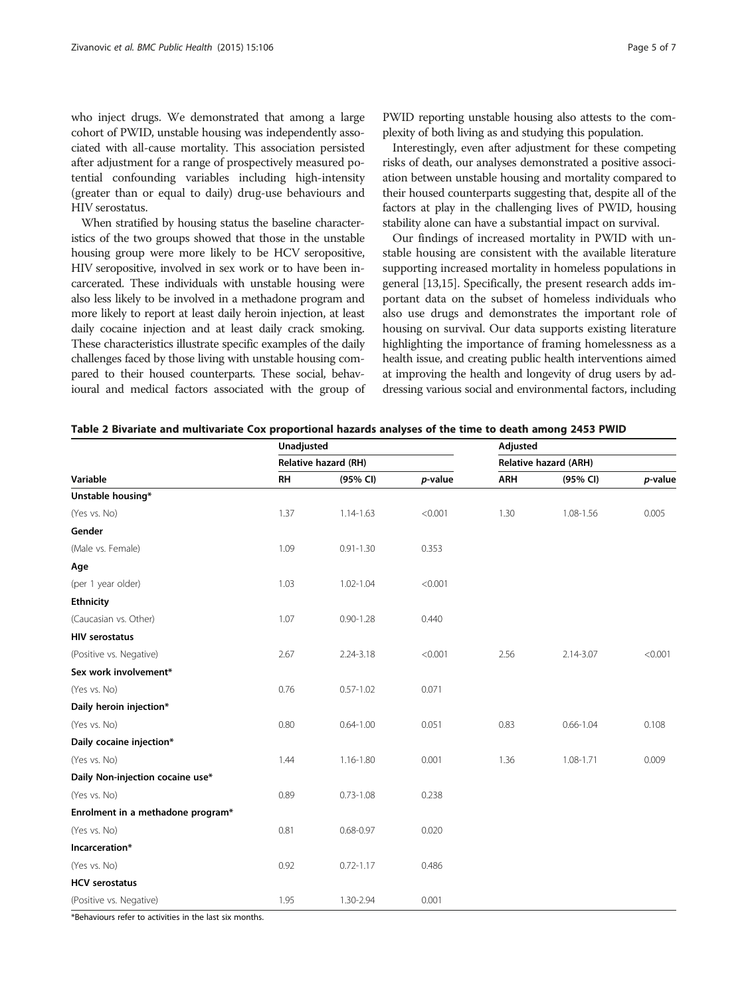<span id="page-4-0"></span>who inject drugs. We demonstrated that among a large cohort of PWID, unstable housing was independently associated with all-cause mortality. This association persisted after adjustment for a range of prospectively measured potential confounding variables including high-intensity (greater than or equal to daily) drug-use behaviours and HIV serostatus.

When stratified by housing status the baseline characteristics of the two groups showed that those in the unstable housing group were more likely to be HCV seropositive, HIV seropositive, involved in sex work or to have been incarcerated. These individuals with unstable housing were also less likely to be involved in a methadone program and more likely to report at least daily heroin injection, at least daily cocaine injection and at least daily crack smoking. These characteristics illustrate specific examples of the daily challenges faced by those living with unstable housing compared to their housed counterparts. These social, behavioural and medical factors associated with the group of PWID reporting unstable housing also attests to the complexity of both living as and studying this population.

Interestingly, even after adjustment for these competing risks of death, our analyses demonstrated a positive association between unstable housing and mortality compared to their housed counterparts suggesting that, despite all of the factors at play in the challenging lives of PWID, housing stability alone can have a substantial impact on survival.

Our findings of increased mortality in PWID with unstable housing are consistent with the available literature supporting increased mortality in homeless populations in general [[13,15](#page-5-0)]. Specifically, the present research adds important data on the subset of homeless individuals who also use drugs and demonstrates the important role of housing on survival. Our data supports existing literature highlighting the importance of framing homelessness as a health issue, and creating public health interventions aimed at improving the health and longevity of drug users by addressing various social and environmental factors, including

| Table 2 Bivariate and multivariate Cox proportional hazards analyses of the time to death among 2453 PWID |  |  |  |
|-----------------------------------------------------------------------------------------------------------|--|--|--|
|-----------------------------------------------------------------------------------------------------------|--|--|--|

|                                   | Unadjusted<br>Relative hazard (RH) |               |         | Adjusted                     |               |         |  |
|-----------------------------------|------------------------------------|---------------|---------|------------------------------|---------------|---------|--|
|                                   |                                    |               |         | <b>Relative hazard (ARH)</b> |               |         |  |
| Variable                          | <b>RH</b>                          | (95% CI)      | p-value | <b>ARH</b>                   | (95% CI)      | p-value |  |
| Unstable housing*                 |                                    |               |         |                              |               |         |  |
| (Yes vs. No)                      | 1.37                               | $1.14 - 1.63$ | < 0.001 | 1.30                         | 1.08-1.56     | 0.005   |  |
| Gender                            |                                    |               |         |                              |               |         |  |
| (Male vs. Female)                 | 1.09                               | $0.91 - 1.30$ | 0.353   |                              |               |         |  |
| Age                               |                                    |               |         |                              |               |         |  |
| (per 1 year older)                | 1.03                               | $1.02 - 1.04$ | < 0.001 |                              |               |         |  |
| <b>Ethnicity</b>                  |                                    |               |         |                              |               |         |  |
| (Caucasian vs. Other)             | 1.07                               | $0.90 - 1.28$ | 0.440   |                              |               |         |  |
| <b>HIV serostatus</b>             |                                    |               |         |                              |               |         |  |
| (Positive vs. Negative)           | 2.67                               | 2.24-3.18     | < 0.001 | 2.56                         | 2.14-3.07     | < 0.001 |  |
| Sex work involvement*             |                                    |               |         |                              |               |         |  |
| (Yes vs. No)                      | 0.76                               | $0.57 - 1.02$ | 0.071   |                              |               |         |  |
| Daily heroin injection*           |                                    |               |         |                              |               |         |  |
| (Yes vs. No)                      | 0.80                               | $0.64 - 1.00$ | 0.051   | 0.83                         | $0.66 - 1.04$ | 0.108   |  |
| Daily cocaine injection*          |                                    |               |         |                              |               |         |  |
| (Yes vs. No)                      | 1.44                               | 1.16-1.80     | 0.001   | 1.36                         | 1.08-1.71     | 0.009   |  |
| Daily Non-injection cocaine use*  |                                    |               |         |                              |               |         |  |
| (Yes vs. No)                      | 0.89                               | $0.73 - 1.08$ | 0.238   |                              |               |         |  |
| Enrolment in a methadone program* |                                    |               |         |                              |               |         |  |
| (Yes vs. No)                      | 0.81                               | $0.68 - 0.97$ | 0.020   |                              |               |         |  |
| Incarceration*                    |                                    |               |         |                              |               |         |  |
| (Yes vs. No)                      | 0.92                               | $0.72 - 1.17$ | 0.486   |                              |               |         |  |
| <b>HCV</b> serostatus             |                                    |               |         |                              |               |         |  |
| (Positive vs. Negative)           | 1.95                               | 1.30-2.94     | 0.001   |                              |               |         |  |

\*Behaviours refer to activities in the last six months.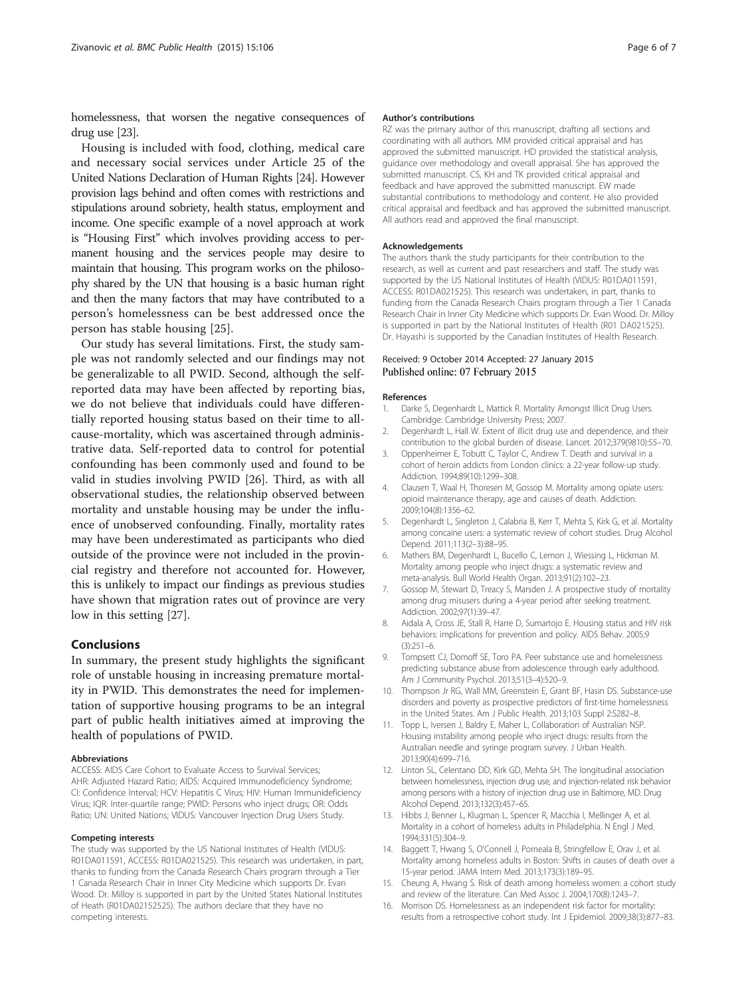<span id="page-5-0"></span>homelessness, that worsen the negative consequences of drug use [\[23\]](#page-6-0).

Housing is included with food, clothing, medical care and necessary social services under Article 25 of the United Nations Declaration of Human Rights [[24\]](#page-6-0). However provision lags behind and often comes with restrictions and stipulations around sobriety, health status, employment and income. One specific example of a novel approach at work is "Housing First" which involves providing access to permanent housing and the services people may desire to maintain that housing. This program works on the philosophy shared by the UN that housing is a basic human right and then the many factors that may have contributed to a person's homelessness can be best addressed once the person has stable housing [[25\]](#page-6-0).

Our study has several limitations. First, the study sample was not randomly selected and our findings may not be generalizable to all PWID. Second, although the selfreported data may have been affected by reporting bias, we do not believe that individuals could have differentially reported housing status based on their time to allcause-mortality, which was ascertained through administrative data. Self-reported data to control for potential confounding has been commonly used and found to be valid in studies involving PWID [\[26](#page-6-0)]. Third, as with all observational studies, the relationship observed between mortality and unstable housing may be under the influence of unobserved confounding. Finally, mortality rates may have been underestimated as participants who died outside of the province were not included in the provincial registry and therefore not accounted for. However, this is unlikely to impact our findings as previous studies have shown that migration rates out of province are very low in this setting [\[27\]](#page-6-0).

## Conclusions

In summary, the present study highlights the significant role of unstable housing in increasing premature mortality in PWID. This demonstrates the need for implementation of supportive housing programs to be an integral part of public health initiatives aimed at improving the health of populations of PWID.

#### Abbreviations

ACCESS: AIDS Care Cohort to Evaluate Access to Survival Services; AHR: Adjusted Hazard Ratio; AIDS: Acquired Immunodeficiency Syndrome; CI: Confidence Interval; HCV: Hepatitis C Virus; HIV: Human Immunideficiency Virus; IQR: Inter-quartile range; PWID: Persons who inject drugs; OR: Odds Ratio; UN: United Nations; VIDUS: Vancouver Injection Drug Users Study.

#### Competing interests

The study was supported by the US National Institutes of Health (VIDUS: R01DA011591, ACCESS: R01DA021525). This research was undertaken, in part, thanks to funding from the Canada Research Chairs program through a Tier 1 Canada Research Chair in Inner City Medicine which supports Dr. Evan Wood. Dr. Milloy is supported in part by the United States National Institutes of Heath (R01DA02152525). The authors declare that they have no competing interests.

#### Author's contributions

RZ was the primary author of this manuscript, drafting all sections and coordinating with all authors. MM provided critical appraisal and has approved the submitted manuscript. HD provided the statistical analysis, guidance over methodology and overall appraisal. She has approved the submitted manuscript. CS, KH and TK provided critical appraisal and feedback and have approved the submitted manuscript. EW made substantial contributions to methodology and content. He also provided critical appraisal and feedback and has approved the submitted manuscript. All authors read and approved the final manuscript.

#### Acknowledgements

The authors thank the study participants for their contribution to the research, as well as current and past researchers and staff. The study was supported by the US National Institutes of Health (VIDUS: R01DA011591, ACCESS: R01DA021525). This research was undertaken, in part, thanks to funding from the Canada Research Chairs program through a Tier 1 Canada Research Chair in Inner City Medicine which supports Dr. Evan Wood. Dr. Milloy is supported in part by the National Institutes of Health (R01 DA021525). Dr. Hayashi is supported by the Canadian Institutes of Health Research.

### Received: 9 October 2014 Accepted: 27 January 2015 Published online: 07 February 2015

#### References

- 1. Darke S, Degenhardt L, Mattick R. Mortality Amongst Illicit Drug Users. Cambridge: Cambridge University Press; 2007.
- Degenhardt L, Hall W. Extent of illicit drug use and dependence, and their contribution to the global burden of disease. Lancet. 2012;379(9810):55–70.
- 3. Oppenheimer E, Tobutt C, Taylor C, Andrew T. Death and survival in a cohort of heroin addicts from London clinics: a 22-year follow-up study. Addiction. 1994;89(10):1299–308.
- 4. Clausen T, Waal H, Thoresen M, Gossop M. Mortality among opiate users: opioid maintenance therapy, age and causes of death. Addiction. 2009;104(8):1356–62.
- 5. Degenhardt L, Singleton J, Calabria B, Kerr T, Mehta S, Kirk G, et al. Mortality among concaine users: a systematic review of cohort studies. Drug Alcohol Depend. 2011;113(2–3):88–95.
- 6. Mathers BM, Degenhardt L, Bucello C, Lemon J, Wiessing L, Hickman M. Mortality among people who inject drugs: a systematic review and meta-analysis. Bull World Health Organ. 2013;91(2):102–23.
- 7. Gossop M, Stewart D, Treacy S, Marsden J. A prospective study of mortality among drug misusers during a 4-year period after seeking treatment. Addiction. 2002;97(1):39–47.
- 8. Aidala A, Cross JE, Stall R, Harre D, Sumartojo E. Housing status and HIV risk behaviors: implications for prevention and policy. AIDS Behav. 2005;9 (3):251–6.
- 9. Tompsett CJ, Domoff SE, Toro PA. Peer substance use and homelessness predicting substance abuse from adolescence through early adulthood. Am J Community Psychol. 2013;51(3–4):520–9.
- 10. Thompson Jr RG, Wall MM, Greenstein E, Grant BF, Hasin DS. Substance-use disorders and poverty as prospective predictors of first-time homelessness in the United States. Am J Public Health. 2013;103 Suppl 2:S282–8.
- 11. Topp L, Iversen J, Baldry E, Maher L, Collaboration of Australian NSP. Housing instability among people who inject drugs: results from the Australian needle and syringe program survey. J Urban Health. 2013;90(4):699–716.
- 12. Linton SL, Celentano DD, Kirk GD, Mehta SH. The longitudinal association between homelessness, injection drug use, and injection-related risk behavior among persons with a history of injection drug use in Baltimore, MD. Drug Alcohol Depend. 2013;132(3):457–65.
- 13. Hibbs J, Benner L, Klugman L, Spencer R, Macchia I, Mellinger A, et al. Mortality in a cohort of homeless adults in Philadelphia. N Engl J Med. 1994;331(5):304–9.
- 14. Baggett T, Hwang S, O'Connell J, Porneala B, Stringfellow E, Orav J, et al. Mortality among homeless adults in Boston: Shifts in causes of death over a 15-year period. JAMA Intern Med. 2013;173(3):189–95.
- 15. Cheung A, Hwang S. Risk of death among homeless women: a cohort study and review of the literature. Can Med Assoc J. 2004;170(8):1243–7.
- 16. Morrison DS. Homelessness as an independent risk factor for mortality: results from a retrospective cohort study. Int J Epidemiol. 2009;38(3):877–83.